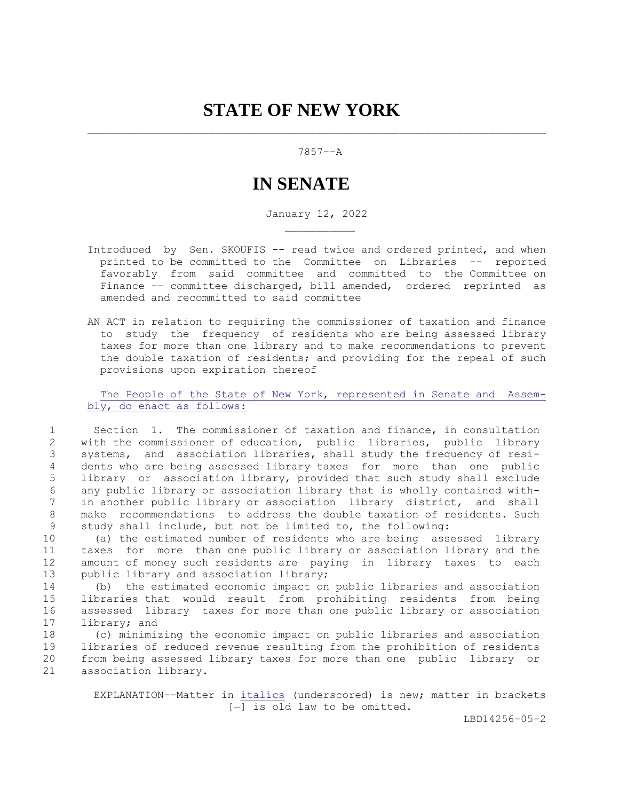## 7857--A

## **IN SENATE**

January 12, 2022

- Introduced by Sen. SKOUFIS -- read twice and ordered printed, and when printed to be committed to the Committee on Libraries -- reported favorably from said committee and committed to the Committee on Finance -- committee discharged, bill amended, ordered reprinted as amended and recommitted to said committee
- AN ACT in relation to requiring the commissioner of taxation and finance to study the frequency of residents who are being assessed library taxes for more than one library and to make recommendations to prevent the double taxation of residents; and providing for the repeal of such provisions upon expiration thereof

The People of the State of New York, represented in Senate and Assembly, do enact as follows:

 1 Section 1. The commissioner of taxation and finance, in consultation 2 with the commissioner of education, public libraries, public library 3 systems, and association libraries, shall study the frequency of resi- 4 dents who are being assessed library taxes for more than one public 5 library or association library, provided that such study shall exclude 6 any public library or association library that is wholly contained with- 7 in another public library or association library district, and shall 8 make recommendations to address the double taxation of residents. Such 9 study shall include, but not be limited to, the following:

10 (a) the estimated number of residents who are being assessed library 11 taxes for more than one public library or association library and the 12 amount of money such residents are paying in library taxes to each 13 public library and association library;

14 (b) the estimated economic impact on public libraries and association 15 libraries that would result from prohibiting residents from being 16 assessed library taxes for more than one public library or association 17 library; and

18 (c) minimizing the economic impact on public libraries and association 19 libraries of reduced revenue resulting from the prohibition of residents 20 from being assessed library taxes for more than one public library or 21 association library.

> EXPLANATION--Matter in italics (underscored) is new; matter in brackets  $[-]$  is old law to be omitted.

> > LBD14256-05-2